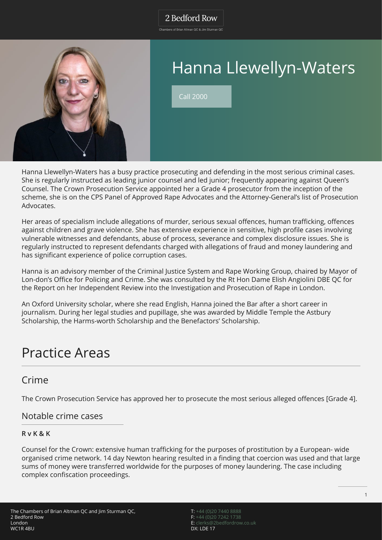Chambers of Brian Altman QC & Jim Sturman QC



# Hanna Llewellyn-Waters

Call 2000

Hanna Llewellyn-Waters has a busy practice prosecuting and defending in the most serious criminal cases. She is regularly instructed as leading junior counsel and led junior; frequently appearing against Queen's Counsel. The Crown Prosecution Service appointed her a Grade 4 prosecutor from the inception of the scheme, she is on the CPS Panel of Approved Rape Advocates and the Attorney-General's list of Prosecution Advocates.

Her areas of specialism include allegations of murder, serious sexual offences, human trafficking, offences against children and grave violence. She has extensive experience in sensitive, high profile cases involving vulnerable witnesses and defendants, abuse of process, severance and complex disclosure issues. She is regularly instructed to represent defendants charged with allegations of fraud and money laundering and has significant experience of police corruption cases.

Hanna is an advisory member of the Criminal Justice System and Rape Working Group, chaired by Mayor of Lon-don's Office for Policing and Crime. She was consulted by the Rt Hon Dame Elish Angiolini DBE QC for the Report on her Independent Review into the Investigation and Prosecution of Rape in London.

An Oxford University scholar, where she read English, Hanna joined the Bar after a short career in journalism. During her legal studies and pupillage, she was awarded by Middle Temple the Astbury Scholarship, the Harms-worth Scholarship and the Benefactors' Scholarship.

## Practice Areas

### Crime

The Crown Prosecution Service has approved her to prosecute the most serious alleged offences [Grade 4].

### Notable crime cases

### **R v K & K**

Counsel for the Crown: extensive human trafficking for the purposes of prostitution by a European- wide organised crime network. 14 day Newton hearing resulted in a finding that coercion was used and that large sums of money were transferred worldwide for the purposes of money laundering. The case including complex confiscation proceedings.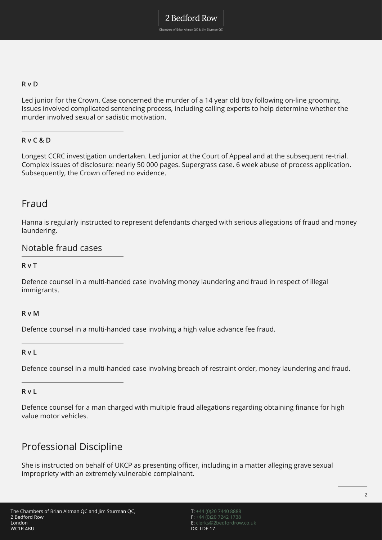### **R v D**

Led junior for the Crown. Case concerned the murder of a 14 year old boy following on-line grooming. Issues involved complicated sentencing process, including calling experts to help determine whether the murder involved sexual or sadistic motivation.

### **R v C & D**

Longest CCRC investigation undertaken. Led junior at the Court of Appeal and at the subsequent re-trial. Complex issues of disclosure: nearly 50 000 pages. Supergrass case. 6 week abuse of process application. Subsequently, the Crown offered no evidence.

### Fraud

Hanna is regularly instructed to represent defendants charged with serious allegations of fraud and money laundering.

### Notable fraud cases

**R v T**

Defence counsel in a multi-handed case involving money laundering and fraud in respect of illegal immigrants.

#### **R v M**

Defence counsel in a multi-handed case involving a high value advance fee fraud.

**R v L**

Defence counsel in a multi-handed case involving breach of restraint order, money laundering and fraud.

**R v L**

Defence counsel for a man charged with multiple fraud allegations regarding obtaining finance for high value motor vehicles.

### Professional Discipline

She is instructed on behalf of UKCP as presenting officer, including in a matter alleging grave sexual impropriety with an extremely vulnerable complainant.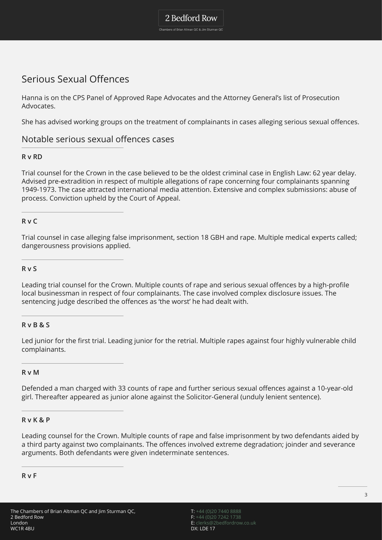### 2 Bedford Row

Chambers of Brian Altman QC & Jim Sturman QC

### Serious Sexual Offences

Hanna is on the CPS Panel of Approved Rape Advocates and the Attorney General's list of Prosecution Advocates.

She has advised working groups on the treatment of complainants in cases alleging serious sexual offences.

### Notable serious sexual offences cases

### **R v RD**

Trial counsel for the Crown in the case believed to be the oldest criminal case in English Law: 62 year delay. Advised pre-extradition in respect of multiple allegations of rape concerning four complainants spanning 1949-1973. The case attracted international media attention. Extensive and complex submissions: abuse of process. Conviction upheld by the Court of Appeal.

### **R v C**

Trial counsel in case alleging false imprisonment, section 18 GBH and rape. Multiple medical experts called; dangerousness provisions applied.

#### **R v S**

Leading trial counsel for the Crown. Multiple counts of rape and serious sexual offences by a high-profile local businessman in respect of four complainants. The case involved complex disclosure issues. The sentencing judge described the offences as 'the worst' he had dealt with.

#### **R v B & S**

Led junior for the first trial. Leading junior for the retrial. Multiple rapes against four highly vulnerable child complainants.

#### **R v M**

Defended a man charged with 33 counts of rape and further serious sexual offences against a 10-year-old girl. Thereafter appeared as junior alone against the Solicitor-General (unduly lenient sentence).

#### **R v K & P**

Leading counsel for the Crown. Multiple counts of rape and false imprisonment by two defendants aided by a third party against two complainants. The offences involved extreme degradation; joinder and severance arguments. Both defendants were given indeterminate sentences.

**R v F**